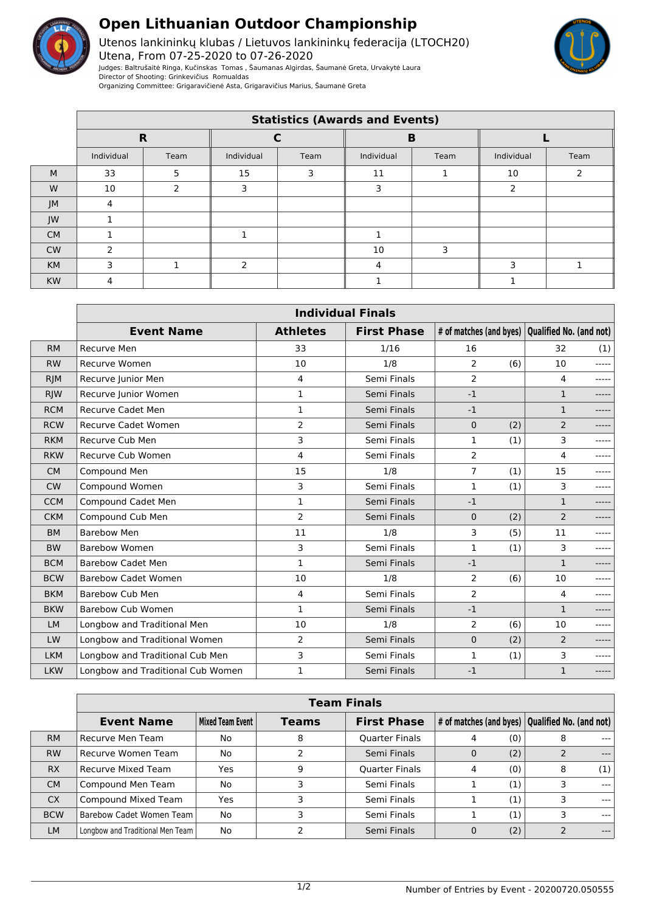

## **Open Lithuanian Outdoor Championship**

Utenos lankininkų klubas / Lietuvos lankininkų federacija (LTOCH20) Utena, From 07-25-2020 to 07-26-2020 Judges: Baltrušaitė Ringa, Kučinskas Tomas , Šaumanas Algirdas, Šaumanė Greta, Urvakytė Laura Director of Shooting: Grinkevičius Romualdas Organizing Committee: Grigaravičienė Asta, Grigaravičius Marius, Šaumanė Greta



|           | <b>Statistics (Awards and Events)</b> |               |            |      |            |      |               |      |  |
|-----------|---------------------------------------|---------------|------------|------|------------|------|---------------|------|--|
|           | $\mathbf R$                           |               |            |      | B          |      |               |      |  |
|           | Individual                            | Team          | Individual | Team | Individual | Team | Individual    | Team |  |
| M         | 33                                    | 5             | 15         | 3    | 11         |      | 10            |      |  |
| W         | 10                                    | $\mathcal{P}$ | 3          |      | 3          |      | $\mathcal{P}$ |      |  |
| JM        |                                       |               |            |      |            |      |               |      |  |
| JW        |                                       |               |            |      |            |      |               |      |  |
| <b>CM</b> |                                       |               |            |      |            |      |               |      |  |
| <b>CW</b> | $\mathcal{P}$                         |               |            |      | 10         | 3    |               |      |  |
| <b>KM</b> | 3                                     |               | h          |      | 4          |      | ∍             |      |  |
| <b>KW</b> |                                       |               |            |      |            |      |               |      |  |

|            | <b>Individual Finals</b>          |                 |                    |                         |     |                         |             |  |
|------------|-----------------------------------|-----------------|--------------------|-------------------------|-----|-------------------------|-------------|--|
|            | <b>Event Name</b>                 | <b>Athletes</b> | <b>First Phase</b> | # of matches (and byes) |     | Qualified No. (and not) |             |  |
| <b>RM</b>  | Recurve Men                       | 33              | 1/16               | 16                      |     | 32                      | (1)         |  |
| <b>RW</b>  | <b>Recurve Women</b>              | 10              | 1/8                | $\overline{2}$          | (6) | 10                      | $- - - - -$ |  |
| <b>RJM</b> | Recurve Junior Men                | 4               | Semi Finals        | 2                       |     | 4                       | -----       |  |
| <b>RJW</b> | Recurve Junior Women              | $\mathbf 1$     | Semi Finals        | $-1$                    |     | $\mathbf{1}$            |             |  |
| <b>RCM</b> | <b>Recurve Cadet Men</b>          | $\mathbf{1}$    | Semi Finals        | $-1$                    |     | $\mathbf{1}$            | -----       |  |
| <b>RCW</b> | <b>Recurve Cadet Women</b>        | $\overline{2}$  | Semi Finals        | $\mathbf{0}$            | (2) | $\overline{2}$          |             |  |
| <b>RKM</b> | Recurve Cub Men                   | 3               | Semi Finals        | 1                       | (1) | 3                       | -----       |  |
| <b>RKW</b> | Recurve Cub Women                 | 4               | Semi Finals        | $\overline{2}$          |     | 4                       | -----       |  |
| <b>CM</b>  | Compound Men                      | 15              | 1/8                | $\overline{7}$          | (1) | 15                      | -----       |  |
| <b>CW</b>  | Compound Women                    | 3               | Semi Finals        | 1                       | (1) | 3                       |             |  |
| <b>CCM</b> | Compound Cadet Men                | $\mathbf{1}$    | Semi Finals        | $-1$                    |     | $\mathbf{1}$            | -----       |  |
| <b>CKM</b> | Compound Cub Men                  | $\overline{2}$  | Semi Finals        | 0                       | (2) | $\overline{2}$          | $- - - - -$ |  |
| <b>BM</b>  | <b>Barebow Men</b>                | 11              | 1/8                | 3                       | (5) | 11                      | -----       |  |
| <b>BW</b>  | Barebow Women                     | 3               | Semi Finals        | $\mathbf{1}$            | (1) | 3                       |             |  |
| <b>BCM</b> | <b>Barebow Cadet Men</b>          | $\mathbf{1}$    | Semi Finals        | $-1$                    |     | $\mathbf{1}$            |             |  |
| <b>BCW</b> | <b>Barebow Cadet Women</b>        | 10              | 1/8                | $\overline{2}$          | (6) | 10                      | -----       |  |
| <b>BKM</b> | <b>Barebow Cub Men</b>            | 4               | Semi Finals        | 2                       |     | 4                       | -----       |  |
| <b>BKW</b> | <b>Barebow Cub Women</b>          | 1               | Semi Finals        | $-1$                    |     | $\mathbf{1}$            | -----       |  |
| <b>LM</b>  | Longbow and Traditional Men       | 10              | 1/8                | 2                       | (6) | 10                      |             |  |
| LW         | Longbow and Traditional Women     | $\overline{2}$  | Semi Finals        | $\Omega$                | (2) | $\overline{2}$          | $---$       |  |
| <b>LKM</b> | Longbow and Traditional Cub Men   | 3               | Semi Finals        | $\mathbf{1}$            | (1) | 3                       |             |  |
| <b>LKW</b> | Longbow and Traditional Cub Women | 1               | Semi Finals        | $-1$                    |     | $\mathbf{1}$            |             |  |

|            | <b>Team Finals</b>               |                  |       |                       |                                                                 |     |   |         |  |
|------------|----------------------------------|------------------|-------|-----------------------|-----------------------------------------------------------------|-----|---|---------|--|
|            | <b>Event Name</b>                | Mixed Team Event | Teams | <b>First Phase</b>    | $\vert$ # of matches (and byes) $\vert$ Qualified No. (and not) |     |   |         |  |
| RM         | Recurve Men Team                 | No               | 8     | <b>Quarter Finals</b> | 4                                                               | (0) | 8 | ---     |  |
| <b>RW</b>  | Recurve Women Team               | No               |       | Semi Finals           | 0                                                               | (2) |   | $---$   |  |
| <b>RX</b>  | Recurve Mixed Team               | Yes              | 9     | <b>Quarter Finals</b> | 4                                                               | (0) | 8 | (1)     |  |
| <b>CM</b>  | Compound Men Team                | No               | 3     | Semi Finals           |                                                                 | (1) |   | $- - -$ |  |
| <b>CX</b>  | Compound Mixed Team              | Yes              | 3     | Semi Finals           |                                                                 | (1) |   | $---$   |  |
| <b>BCW</b> | Barebow Cadet Women Team         | No               |       | Semi Finals           |                                                                 | (1) |   | $---$   |  |
| <b>LM</b>  | Longbow and Traditional Men Team | No               |       | Semi Finals           | $\mathbf{0}$                                                    | (2) |   | $---$   |  |